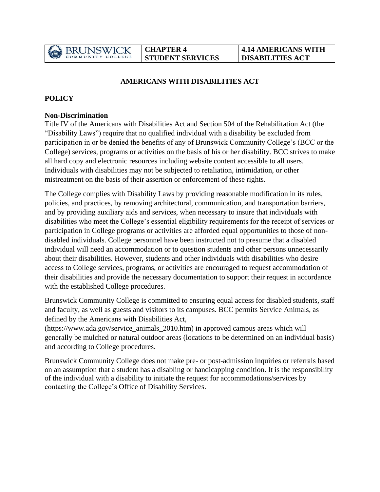

### **AMERICANS WITH DISABILITIES ACT**

### **POLICY**

#### **Non-Discrimination**

Title IV of the Americans with Disabilities Act and Section 504 of the Rehabilitation Act (the "Disability Laws") require that no qualified individual with a disability be excluded from participation in or be denied the benefits of any of Brunswick Community College's (BCC or the College) services, programs or activities on the basis of his or her disability. BCC strives to make all hard copy and electronic resources including website content accessible to all users. Individuals with disabilities may not be subjected to retaliation, intimidation, or other mistreatment on the basis of their assertion or enforcement of these rights.

The College complies with Disability Laws by providing reasonable modification in its rules, policies, and practices, by removing architectural, communication, and transportation barriers, and by providing auxiliary aids and services, when necessary to insure that individuals with disabilities who meet the College's essential eligibility requirements for the receipt of services or participation in College programs or activities are afforded equal opportunities to those of nondisabled individuals. College personnel have been instructed not to presume that a disabled individual will need an accommodation or to question students and other persons unnecessarily about their disabilities. However, students and other individuals with disabilities who desire access to College services, programs, or activities are encouraged to request accommodation of their disabilities and provide the necessary documentation to support their request in accordance with the established College procedures.

Brunswick Community College is committed to ensuring equal access for disabled students, staff and faculty, as well as guests and visitors to its campuses. BCC permits Service Animals, as defined by the Americans with Disabilities Act,

(https://www.ada.gov/service\_animals\_2010.htm) in approved campus areas which will generally be mulched or natural outdoor areas (locations to be determined on an individual basis) and according to College procedures.

Brunswick Community College does not make pre- or post-admission inquiries or referrals based on an assumption that a student has a disabling or handicapping condition. It is the responsibility of the individual with a disability to initiate the request for accommodations/services by contacting the College's Office of Disability Services.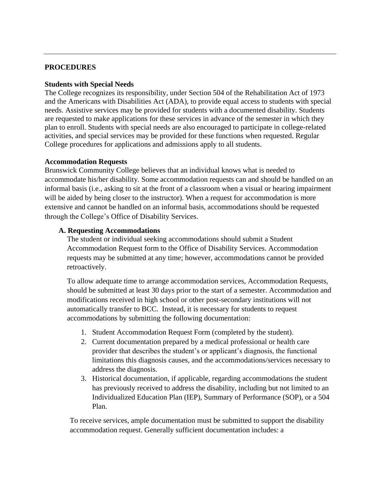#### **PROCEDURES**

#### **Students with Special Needs**

The College recognizes its responsibility, under Section 504 of the Rehabilitation Act of 1973 and the Americans with Disabilities Act (ADA), to provide equal access to students with special needs. Assistive services may be provided for students with a documented disability. Students are requested to make applications for these services in advance of the semester in which they plan to enroll. Students with special needs are also encouraged to participate in college-related activities, and special services may be provided for these functions when requested. Regular College procedures for applications and admissions apply to all students.

#### **Accommodation Requests**

Brunswick Community College believes that an individual knows what is needed to accommodate his/her disability. Some accommodation requests can and should be handled on an informal basis (i.e., asking to sit at the front of a classroom when a visual or hearing impairment will be aided by being closer to the instructor). When a request for accommodation is more extensive and cannot be handled on an informal basis, accommodations should be requested through the College's Office of Disability Services.

#### **A. Requesting Accommodations**

The student or individual seeking accommodations should submit a Student Accommodation Request form to the Office of Disability Services. Accommodation requests may be submitted at any time; however, accommodations cannot be provided retroactively.

To allow adequate time to arrange accommodation services, Accommodation Requests, should be submitted at least 30 days prior to the start of a semester. Accommodation and modifications received in high school or other post-secondary institutions will not automatically transfer to BCC. Instead, it is necessary for students to request accommodations by submitting the following documentation:

- 1. Student Accommodation Request Form (completed by the student).
- 2. Current documentation prepared by a medical professional or health care provider that describes the student's or applicant's diagnosis, the functional limitations this diagnosis causes, and the accommodations/services necessary to address the diagnosis.
- 3. Historical documentation, if applicable, regarding accommodations the student has previously received to address the disability, including but not limited to an Individualized Education Plan (IEP), Summary of Performance (SOP), or a 504 Plan.

To receive services, ample documentation must be submitted to support the disability accommodation request. Generally sufficient documentation includes: a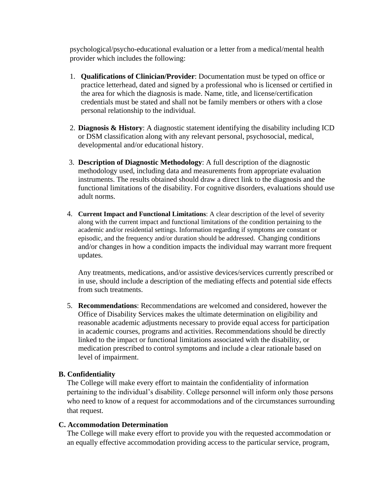psychological/psycho-educational evaluation or a letter from a medical/mental health provider which includes the following:

- 1. **Qualifications of Clinician/Provider**: Documentation must be typed on office or practice letterhead, dated and signed by a professional who is licensed or certified in the area for which the diagnosis is made. Name, title, and license/certification credentials must be stated and shall not be family members or others with a close personal relationship to the individual.
- 2. **Diagnosis & History**: A diagnostic statement identifying the disability including ICD or DSM classification along with any relevant personal, psychosocial, medical, developmental and/or educational history.
- 3. **Description of Diagnostic Methodology**: A full description of the diagnostic methodology used, including data and measurements from appropriate evaluation instruments. The results obtained should draw a direct link to the diagnosis and the functional limitations of the disability. For cognitive disorders, evaluations should use adult norms.
- 4. **Current Impact and Functional Limitations**: A clear description of the level of severity along with the current impact and functional limitations of the condition pertaining to the academic and/or residential settings. Information regarding if symptoms are constant or episodic, and the frequency and/or duration should be addressed. Changing conditions and/or changes in how a condition impacts the individual may warrant more frequent updates.

Any treatments, medications, and/or assistive devices/services currently prescribed or in use, should include a description of the mediating effects and potential side effects from such treatments.

5. **Recommendations**: Recommendations are welcomed and considered, however the Office of Disability Services makes the ultimate determination on eligibility and reasonable academic adjustments necessary to provide equal access for participation in academic courses, programs and activities. Recommendations should be directly linked to the impact or functional limitations associated with the disability, or medication prescribed to control symptoms and include a clear rationale based on level of impairment.

#### **B. Confidentiality**

The College will make every effort to maintain the confidentiality of information pertaining to the individual's disability. College personnel will inform only those persons who need to know of a request for accommodations and of the circumstances surrounding that request.

#### **C. Accommodation Determination**

The College will make every effort to provide you with the requested accommodation or an equally effective accommodation providing access to the particular service, program,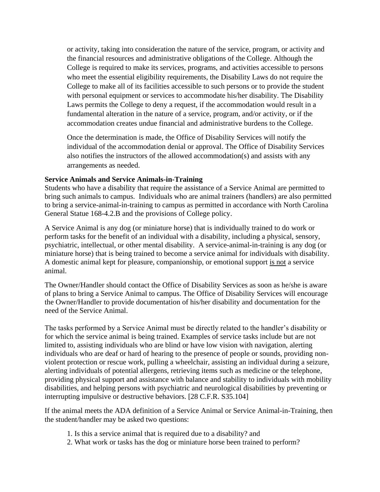or activity, taking into consideration the nature of the service, program, or activity and the financial resources and administrative obligations of the College. Although the College is required to make its services, programs, and activities accessible to persons who meet the essential eligibility requirements, the Disability Laws do not require the College to make all of its facilities accessible to such persons or to provide the student with personal equipment or services to accommodate his/her disability. The Disability Laws permits the College to deny a request, if the accommodation would result in a fundamental alteration in the nature of a service, program, and/or activity, or if the accommodation creates undue financial and administrative burdens to the College.

Once the determination is made, the Office of Disability Services will notify the individual of the accommodation denial or approval. The Office of Disability Services also notifies the instructors of the allowed accommodation(s) and assists with any arrangements as needed.

### **Service Animals and Service Animals-in-Training**

Students who have a disability that require the assistance of a Service Animal are permitted to bring such animals to campus. Individuals who are animal trainers (handlers) are also permitted to bring a service-animal-in-training to campus as permitted in accordance with North Carolina General Statue 168-4.2.B and the provisions of College policy.

A Service Animal is any dog (or miniature horse) that is individually trained to do work or perform tasks for the benefit of an individual with a disability, including a physical, sensory, psychiatric, intellectual, or other mental disability. A service-animal-in-training is any dog (or miniature horse) that is being trained to become a service animal for individuals with disability. A domestic animal kept for pleasure, companionship, or emotional support is not a service animal.

The Owner/Handler should contact the Office of Disability Services as soon as he/she is aware of plans to bring a Service Animal to campus. The Office of Disability Services will encourage the Owner/Handler to provide documentation of his/her disability and documentation for the need of the Service Animal.

The tasks performed by a Service Animal must be directly related to the handler's disability or for which the service animal is being trained. Examples of service tasks include but are not limited to, assisting individuals who are blind or have low vision with navigation, alerting individuals who are deaf or hard of hearing to the presence of people or sounds, providing nonviolent protection or rescue work, pulling a wheelchair, assisting an individual during a seizure, alerting individuals of potential allergens, retrieving items such as medicine or the telephone, providing physical support and assistance with balance and stability to individuals with mobility disabilities, and helping persons with psychiatric and neurological disabilities by preventing or interrupting impulsive or destructive behaviors. [28 C.F.R. S35.104]

If the animal meets the ADA definition of a Service Animal or Service Animal-in-Training, then the student/handler may be asked two questions:

- 1. Is this a service animal that is required due to a disability? and
- 2. What work or tasks has the dog or miniature horse been trained to perform?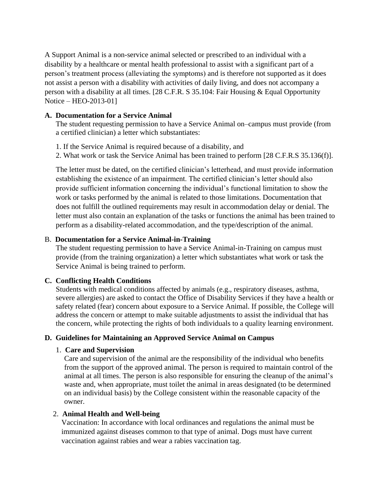A Support Animal is a non-service animal selected or prescribed to an individual with a disability by a healthcare or mental health professional to assist with a significant part of a person's treatment process (alleviating the symptoms) and is therefore not supported as it does not assist a person with a disability with activities of daily living, and does not accompany a person with a disability at all times. [28 C.F.R. S 35.104: Fair Housing & Equal Opportunity Notice – HEO-2013-01]

#### **A. Documentation for a Service Animal**

The student requesting permission to have a Service Animal on–campus must provide (from a certified clinician) a letter which substantiates:

- 1. If the Service Animal is required because of a disability, and
- 2. What work or task the Service Animal has been trained to perform [28 C.F.R.S 35.136(f)].

The letter must be dated, on the certified clinician's letterhead, and must provide information establishing the existence of an impairment. The certified clinician's letter should also provide sufficient information concerning the individual's functional limitation to show the work or tasks performed by the animal is related to those limitations. Documentation that does not fulfill the outlined requirements may result in accommodation delay or denial. The letter must also contain an explanation of the tasks or functions the animal has been trained to perform as a disability-related accommodation, and the type/description of the animal.

# B. **Documentation for a Service Animal-in-Training**

The student requesting permission to have a Service Animal-in-Training on campus must provide (from the training organization) a letter which substantiates what work or task the Service Animal is being trained to perform.

# **C. Conflicting Health Conditions**

Students with medical conditions affected by animals (e.g., respiratory diseases, asthma, severe allergies) are asked to contact the Office of Disability Services if they have a health or safety related (fear) concern about exposure to a Service Animal. If possible, the College will address the concern or attempt to make suitable adjustments to assist the individual that has the concern, while protecting the rights of both individuals to a quality learning environment.

# **D. Guidelines for Maintaining an Approved Service Animal on Campus**

# 1. **Care and Supervision**

Care and supervision of the animal are the responsibility of the individual who benefits from the support of the approved animal. The person is required to maintain control of the animal at all times. The person is also responsible for ensuring the cleanup of the animal's waste and, when appropriate, must toilet the animal in areas designated (to be determined on an individual basis) by the College consistent within the reasonable capacity of the owner.

# 2. **Animal Health and Well-being**

Vaccination: In accordance with local ordinances and regulations the animal must be immunized against diseases common to that type of animal. Dogs must have current vaccination against rabies and wear a rabies vaccination tag.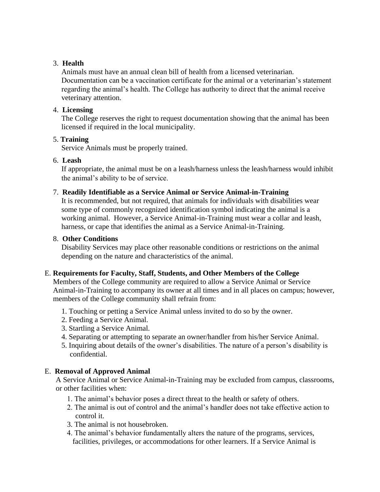# 3. **Health**

Animals must have an annual clean bill of health from a licensed veterinarian. Documentation can be a vaccination certificate for the animal or a veterinarian's statement regarding the animal's health. The College has authority to direct that the animal receive veterinary attention.

### 4. **Licensing**

The College reserves the right to request documentation showing that the animal has been licensed if required in the local municipality.

### 5. **Training**

Service Animals must be properly trained.

### 6. **Leash**

If appropriate, the animal must be on a leash/harness unless the leash/harness would inhibit the animal's ability to be of service.

### 7. **Readily Identifiable as a Service Animal or Service Animal-in-Training**

It is recommended, but not required, that animals for individuals with disabilities wear some type of commonly recognized identification symbol indicating the animal is a working animal. However, a Service Animal-in-Training must wear a collar and leash, harness, or cape that identifies the animal as a Service Animal-in-Training.

### 8. **Other Conditions**

Disability Services may place other reasonable conditions or restrictions on the animal depending on the nature and characteristics of the animal.

# E. **Requirements for Faculty, Staff, Students, and Other Members of the College**

Members of the College community are required to allow a Service Animal or Service Animal-in-Training to accompany its owner at all times and in all places on campus; however, members of the College community shall refrain from:

- 1. Touching or petting a Service Animal unless invited to do so by the owner.
- 2. Feeding a Service Animal.
- 3. Startling a Service Animal.
- 4. Separating or attempting to separate an owner/handler from his/her Service Animal.
- 5. Inquiring about details of the owner's disabilities. The nature of a person's disability is confidential.

# E. **Removal of Approved Animal**

A Service Animal or Service Animal-in-Training may be excluded from campus, classrooms, or other facilities when:

- 1. The animal's behavior poses a direct threat to the health or safety of others.
- 2. The animal is out of control and the animal's handler does not take effective action to control it.
- 3. The animal is not housebroken.
- 4. The animal's behavior fundamentally alters the nature of the programs, services, facilities, privileges, or accommodations for other learners. If a Service Animal is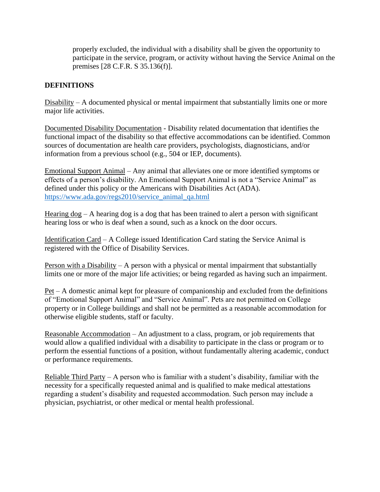properly excluded, the individual with a disability shall be given the opportunity to participate in the service, program, or activity without having the Service Animal on the premises [28 C.F.R. S 35.136(f)].

# **DEFINITIONS**

Disability – A documented physical or mental impairment that substantially limits one or more major life activities.

Documented Disability Documentation - Disability related documentation that identifies the functional impact of the disability so that effective accommodations can be identified. Common sources of documentation are health care providers, psychologists, diagnosticians, and/or information from a previous school (e.g., 504 or IEP, documents).

Emotional Support Animal – Any animal that alleviates one or more identified symptoms or effects of a person's disability. An Emotional Support Animal is not a "Service Animal" as defined under this policy or the Americans with Disabilities Act (ADA). [https://www.ada.gov/regs2010/service\\_animal\\_qa.html](https://www.ada.gov/regs2010/service_animal_qa.html)

Hearing  $\log - A$  hearing dog is a dog that has been trained to alert a person with significant hearing loss or who is deaf when a sound, such as a knock on the door occurs.

Identification Card – A College issued Identification Card stating the Service Animal is registered with the Office of Disability Services.

Person with a Disability – A person with a physical or mental impairment that substantially limits one or more of the major life activities; or being regarded as having such an impairment.

Pet – A domestic animal kept for pleasure of companionship and excluded from the definitions of "Emotional Support Animal" and "Service Animal". Pets are not permitted on College property or in College buildings and shall not be permitted as a reasonable accommodation for otherwise eligible students, staff or faculty.

Reasonable Accommodation – An adjustment to a class, program, or job requirements that would allow a qualified individual with a disability to participate in the class or program or to perform the essential functions of a position, without fundamentally altering academic, conduct or performance requirements.

Reliable Third Party – A person who is familiar with a student's disability, familiar with the necessity for a specifically requested animal and is qualified to make medical attestations regarding a student's disability and requested accommodation. Such person may include a physician, psychiatrist, or other medical or mental health professional.